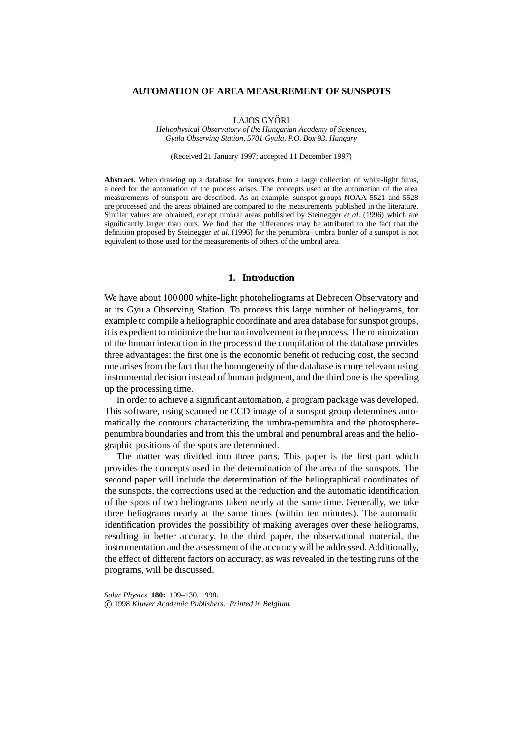# **AUTOMATION OF AREA MEASUREMENT OF SUNSPOTS**

LAJOS GYŐRI

*Heliophysical Observatory of the Hungarian Academy of Sciences, Gyula Observing Station, 5701 Gyula, P.O. Box 93, Hungary*

(Received 21 January 1997; accepted 11 December 1997)

**Abstract.** When drawing up a database for sunspots from a large collection of white-light films, a need for the automation of the process arises. The concepts used at the automation of the area measurements of sunspots are described. As an example, sunspot groups NOAA 5521 and 5528 are processed and the areas obtained are compared to the measurements published in the literature. Similar values are obtained, except umbral areas published by Steinegger *et al.* (1996) which are significantly larger than ours. We find that the differences may be attributed to the fact that the definition proposed by Steinegger *et al.* (1996) for the penumbra–umbra border of a sunspot is not equivalent to those used for the measurements of others of the umbral area.

## **1. Introduction**

We have about 100 000 white-light photoheliograms at Debrecen Observatory and at its Gyula Observing Station. To process this large number of heliograms, for example to compile a heliographic coordinate and area database for sunspot groups, it is expedient to minimize the human involvement in the process. The minimization of the human interaction in the process of the compilation of the database provides three advantages: the first one is the economic benefit of reducing cost, the second one arises from the fact that the homogeneity of the database is more relevant using instrumental decision instead of human judgment, and the third one is the speeding up the processing time.

In order to achieve a significant automation, a program package was developed. This software, using scanned or CCD image of a sunspot group determines automatically the contours characterizing the umbra-penumbra and the photospherepenumbra boundaries and from this the umbral and penumbral areas and the heliographic positions of the spots are determined.

The matter was divided into three parts. This paper is the first part which provides the concepts used in the determination of the area of the sunspots. The second paper will include the determination of the heliographical coordinates of the sunspots, the corrections used at the reduction and the automatic identification of the spots of two heliograms taken nearly at the same time. Generally, we take three heliograms nearly at the same times (within ten minutes). The automatic identification provides the possibility of making averages over these heliograms, resulting in better accuracy. In the third paper, the observational material, the instrumentation and the assessment of the accuracy will be addressed.Additionally, the effect of different factors on accuracy, as was revealed in the testing runs of the programs, will be discussed.

*Solar Physics* **180:** 109–130, 1998. c 1998 *Kluwer Academic Publishers. Printed in Belgium.*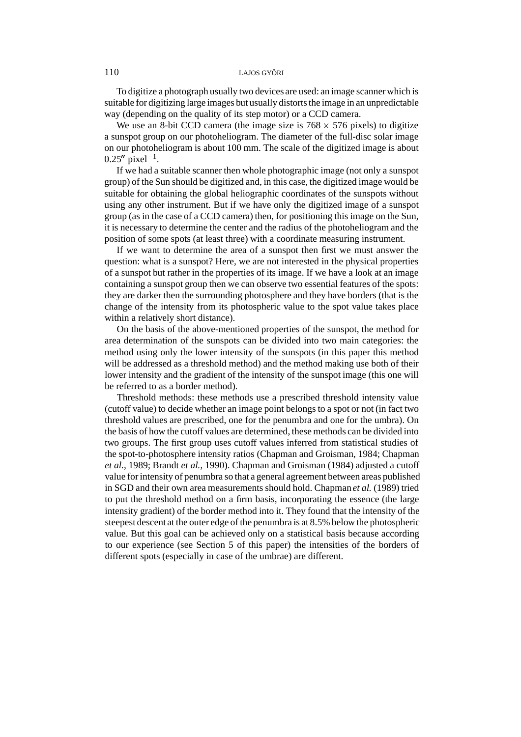To digitize a photograph usually two devices are used: an image scannerwhich is suitable for digitizing large images but usually distorts the image in an unpredictable way (depending on the quality of its step motor) or a CCD camera.

We use an 8-bit CCD camera (the image size is  $768 \times 576$  pixels) to digitize a sunspot group on our photoheliogram. The diameter of the full-disc solar image on our photoheliogram is about 100 mm. The scale of the digitized image is about  $0.25''$  pixel<sup>-1</sup>.

If we had a suitable scanner then whole photographic image (not only a sunspot group) of the Sun should be digitized and, in this case, the digitized image would be suitable for obtaining the global heliographic coordinates of the sunspots without using any other instrument. But if we have only the digitized image of a sunspot group (as in the case of a CCD camera) then, for positioning this image on the Sun, it is necessary to determine the center and the radius of the photoheliogram and the position of some spots (at least three) with a coordinate measuring instrument.

If we want to determine the area of a sunspot then first we must answer the question: what is a sunspot? Here, we are not interested in the physical properties of a sunspot but rather in the properties of its image. If we have a look at an image containing a sunspot group then we can observe two essential features of the spots: they are darker then the surrounding photosphere and they have borders (that is the change of the intensity from its photospheric value to the spot value takes place within a relatively short distance).

On the basis of the above-mentioned properties of the sunspot, the method for area determination of the sunspots can be divided into two main categories: the method using only the lower intensity of the sunspots (in this paper this method will be addressed as a threshold method) and the method making use both of their lower intensity and the gradient of the intensity of the sunspot image (this one will be referred to as a border method).

Threshold methods: these methods use a prescribed threshold intensity value (cutoff value) to decide whether an image point belongsto a spot or not (in fact two threshold values are prescribed, one for the penumbra and one for the umbra). On the basis of how the cutoff values are determined, these methods can be divided into two groups. The first group uses cutoff values inferred from statistical studies of the spot-to-photosphere intensity ratios (Chapman and Groisman, 1984; Chapman *et al.*, 1989; Brandt *et al.*, 1990). Chapman and Groisman (1984) adjusted a cutoff value forintensity of penumbra so that a general agreement between areas published in SGD and their own area measurements should hold. Chapman *et al.* (1989) tried to put the threshold method on a firm basis, incorporating the essence (the large intensity gradient) of the border method into it. They found that the intensity of the steepest descent at the outer edge of the penumbra is at 8.5% below the photospheric value. But this goal can be achieved only on a statistical basis because according to our experience (see Section 5 of this paper) the intensities of the borders of different spots (especially in case of the umbrae) are different.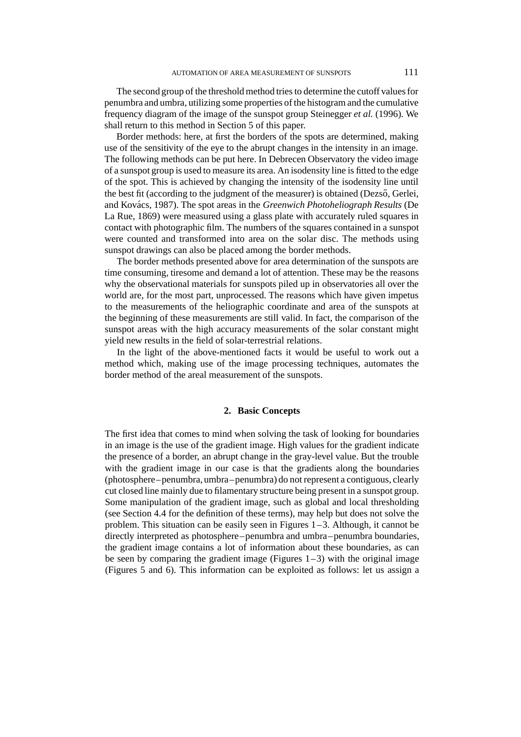The second group of the threshold method tries to determine the cutoff values for penumbra and umbra, utilizing some properties of the histogram and the cumulative frequency diagram of the image of the sunspot group Steinegger *et al.* (1996). We shall return to this method in Section 5 of this paper.

Border methods: here, at first the borders of the spots are determined, making use of the sensitivity of the eye to the abrupt changes in the intensity in an image. The following methods can be put here. In Debrecen Observatory the video image of a sunspot group is used to measure its area. An isodensity line is fitted to the edge of the spot. This is achieved by changing the intensity of the isodensity line until the best fit (according to the judgment of the measurer) is obtained (Dezső, Gerlei, and Kovacs, ´ 1987). The spot areas in the *Greenwich Photoheliograph Results* (De La Rue, 1869) were measured using a glass plate with accurately ruled squares in contact with photographic film. The numbers of the squares contained in a sunspot were counted and transformed into area on the solar disc. The methods using sunspot drawings can also be placed among the border methods.

The border methods presented above for area determination of the sunspots are time consuming, tiresome and demand a lot of attention. These may be the reasons why the observational materials for sunspots piled up in observatories all over the world are, for the most part, unprocessed. The reasons which have given impetus to the measurements of the heliographic coordinate and area of the sunspots at the beginning of these measurements are still valid. In fact, the comparison of the sunspot areas with the high accuracy measurements of the solar constant might yield new results in the field of solar-terrestrial relations.

In the light of the above-mentioned facts it would be useful to work out a method which, making use of the image processing techniques, automates the border method of the areal measurement of the sunspots.

## **2. Basic Concepts**

The first idea that comes to mind when solving the task of looking for boundaries in an image is the use of the gradient image. High values for the gradient indicate the presence of a border, an abrupt change in the gray-level value. But the trouble with the gradient image in our case is that the gradients along the boundaries (photosphere–penumbra, umbra–penumbra) do not represent a contiguous, clearly cut closed line mainly due to filamentary structure being present in a sunspot group. Some manipulation of the gradient image, such as global and local thresholding (see Section 4.4 for the definition of these terms), may help but does not solve the problem. This situation can be easily seen in Figures 1–3. Although, it cannot be directly interpreted as photosphere–penumbra and umbra–penumbra boundaries, the gradient image contains a lot of information about these boundaries, as can be seen by comparing the gradient image (Figures  $1-3$ ) with the original image (Figures 5 and 6). This information can be exploited as follows: let us assign a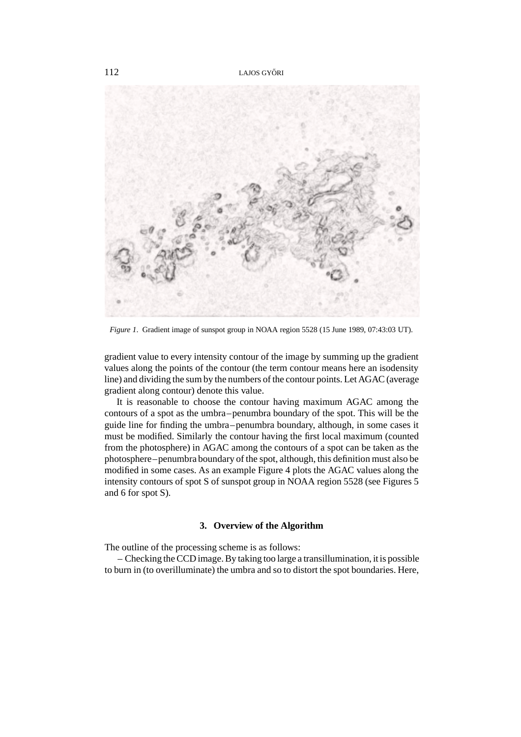

*Figure 1*. Gradient image of sunspot group in NOAA region 5528 (15 June 1989, 07:43:03 UT).

gradient value to every intensity contour of the image by summing up the gradient values along the points of the contour (the term contour means here an isodensity line) and dividing the sum by the numbers of the contour points. Let AGAC (average gradient along contour) denote this value.

It is reasonable to choose the contour having maximum AGAC among the contours of a spot as the umbra–penumbra boundary of the spot. This will be the guide line for finding the umbra–penumbra boundary, although, in some cases it must be modified. Similarly the contour having the first local maximum (counted from the photosphere) in AGAC among the contours of a spot can be taken as the photosphere–penumbra boundary of the spot, although, this definition must also be modified in some cases. As an example Figure 4 plots the AGAC values along the intensity contours of spot S of sunspot group in NOAA region 5528 (see Figures 5 and 6 for spot S).

### **3. Overview of the Algorithm**

The outline of the processing scheme is as follows:

– Checking theCCD image.By taking too large a transillumination, it is possible to burn in (to overilluminate) the umbra and so to distort the spot boundaries. Here,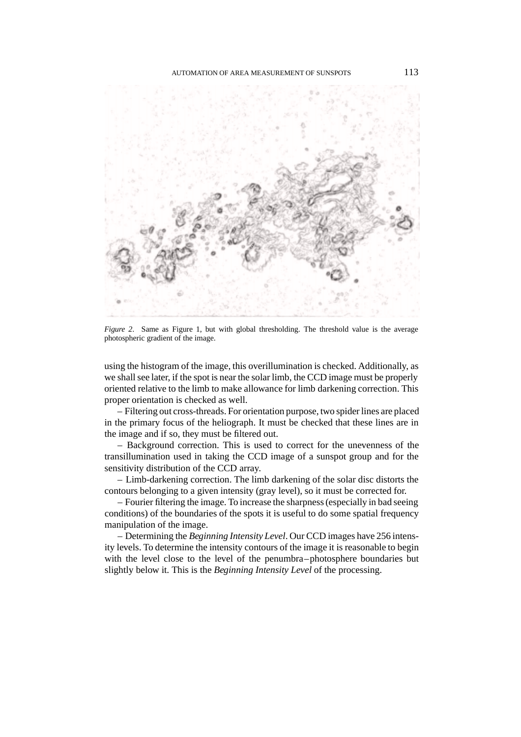

*Figure 2*. Same as Figure 1, but with global thresholding. The threshold value is the average photospheric gradient of the image.

using the histogram of the image, this overillumination is checked. Additionally, as we shall see later, if the spot is near the solar limb, the CCD image must be properly oriented relative to the limb to make allowance for limb darkening correction. This proper orientation is checked as well.

– Filtering out cross-threads. For orientation purpose, two spider lines are placed in the primary focus of the heliograph. It must be checked that these lines are in the image and if so, they must be filtered out.

– Background correction. This is used to correct for the unevenness of the transillumination used in taking the CCD image of a sunspot group and for the sensitivity distribution of the CCD array.

– Limb-darkening correction. The limb darkening of the solar disc distorts the contours belonging to a given intensity (gray level), so it must be corrected for.

– Fourier filtering the image. To increase the sharpness(especially in bad seeing conditions) of the boundaries of the spots it is useful to do some spatial frequency manipulation of the image.

– Determining the *Beginning Intensity Level*. Our CCD images have 256 intensity levels. To determine the intensity contours of the image it is reasonable to begin with the level close to the level of the penumbra–photosphere boundaries but slightly below it. This is the *Beginning Intensity Level* of the processing.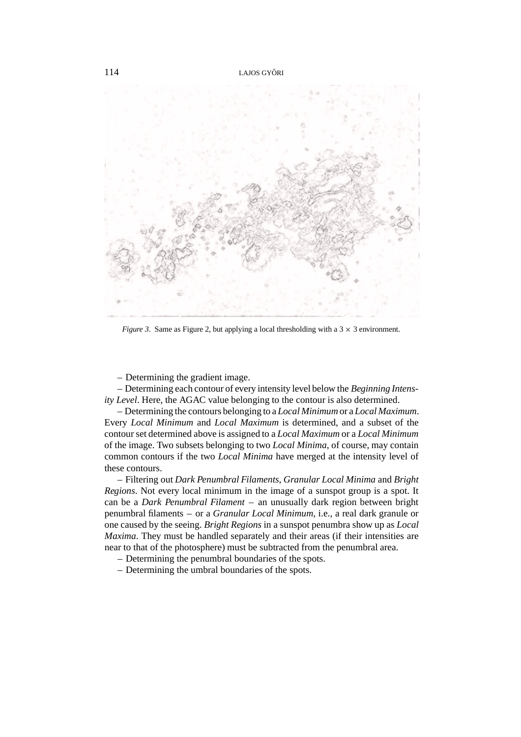

*Figure* 3. Same as Figure 2, but applying a local thresholding with a  $3 \times 3$  environment.

– Determining the gradient image.

– Determining each contour of every intensity level below the *Beginning Intensity Level*. Here, the AGAC value belonging to the contour is also determined.

– Determining the contours belonging to a *Local Minimum* or a *Local Maximum*. Every *Local Minimum* and *Local Maximum* is determined, and a subset of the contourset determined above is assigned to a *Local Maximum* or a *Local Minimum* of the image. Two subsets belonging to two *Local Minima*, of course, may contain common contours if the two *Local Minima* have merged at the intensity level of these contours.

– Filtering out *Dark Penumbral Filaments*, *Granular Local Minima* and *Bright Regions*. Not every local minimum in the image of a sunspot group is a spot. It can be a *Dark Penumbral Filament* – an unusually dark region between bright penumbral filaments – or a *Granular Local Minimum*, i.e., a real dark granule or one caused by the seeing. *Bright Regions* in a sunspot penumbra show up as *Local Maxima*. They must be handled separately and their areas (if their intensities are near to that of the photosphere) must be subtracted from the penumbral area.

– Determining the penumbral boundaries of the spots.

– Determining the umbral boundaries of the spots.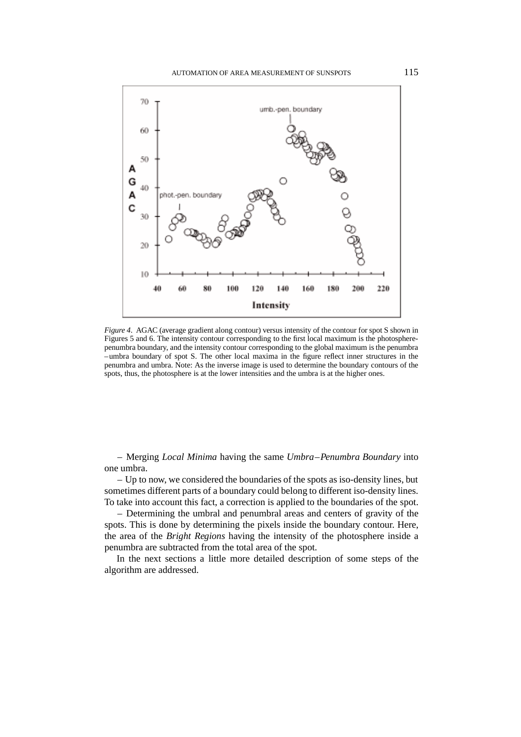

*Figure 4*. AGAC (average gradient along contour) versus intensity of the contour for spot S shown in Figures 5 and 6. The intensity contour corresponding to the first local maximum is the photospherepenumbra boundary, and the intensity contour corresponding to the global maximum is the penumbra –umbra boundary of spot S. The other local maxima in the figure reflect inner structures in the penumbra and umbra. Note: As the inverse image is used to determine the boundary contours of the spots, thus, the photosphere is at the lower intensities and the umbra is at the higher ones.

– Merging *Local Minima* having the same *Umbra–Penumbra Boundary* into one umbra.

– Up to now, we considered the boundaries of the spots as iso-density lines, but sometimes different parts of a boundary could belong to different iso-density lines. To take into account this fact, a correction is applied to the boundaries of the spot.

– Determining the umbral and penumbral areas and centers of gravity of the spots. This is done by determining the pixels inside the boundary contour. Here, the area of the *Bright Regions* having the intensity of the photosphere inside a penumbra are subtracted from the total area of the spot.

In the next sections a little more detailed description of some steps of the algorithm are addressed.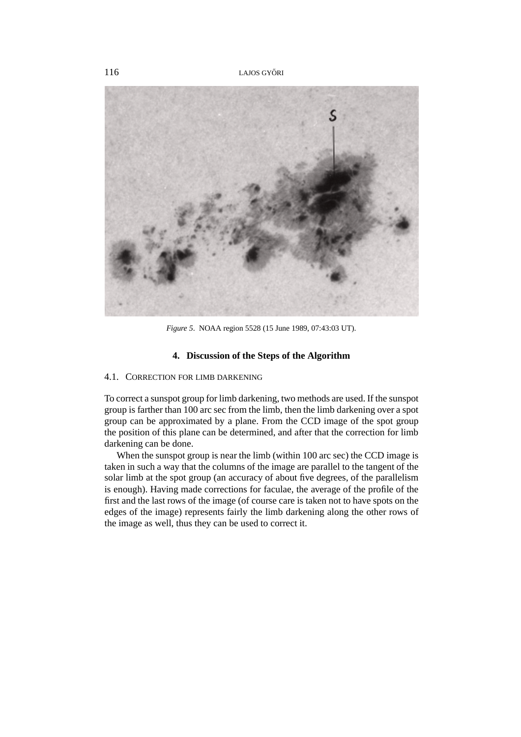

*Figure 5*. NOAA region 5528 (15 June 1989, 07:43:03 UT).

## **4. Discussion of the Steps of the Algorithm**

## 4.1. CORRECTION FOR LIMB DARKENING

To correct a sunspot group for limb darkening, two methods are used. If the sunspot group is farther than 100 arc sec from the limb, then the limb darkening over a spot group can be approximated by a plane. From the CCD image of the spot group the position of this plane can be determined, and after that the correction for limb darkening can be done.

When the sunspot group is near the limb (within 100 arc sec) the CCD image is taken in such a way that the columns of the image are parallel to the tangent of the solar limb at the spot group (an accuracy of about five degrees, of the parallelism is enough). Having made corrections for faculae, the average of the profile of the first and the last rows of the image (of course care is taken not to have spots on the edges of the image) represents fairly the limb darkening along the other rows of the image as well, thus they can be used to correct it.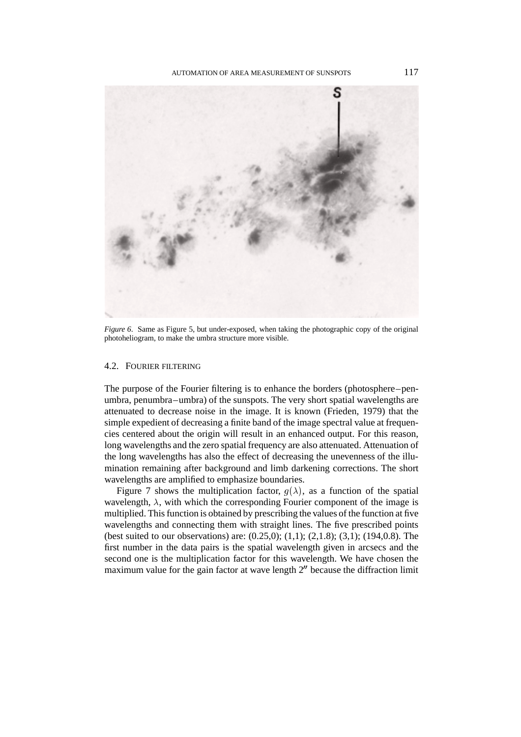

*Figure 6*. Same as Figure 5, but under-exposed, when taking the photographic copy of the original photoheliogram, to make the umbra structure more visible.

#### 4.2. FOURIER FILTERING

The purpose of the Fourier filtering is to enhance the borders (photosphere–penumbra, penumbra–umbra) of the sunspots. The very short spatial wavelengths are attenuated to decrease noise in the image. It is known (Frieden, 1979) that the simple expedient of decreasing a finite band of the image spectral value at frequencies centered about the origin will result in an enhanced output. For this reason, long wavelengths and the zero spatial frequency are also attenuated. Attenuation of the long wavelengths has also the effect of decreasing the unevenness of the illumination remaining after background and limb darkening corrections. The short wavelengths are amplified to emphasize boundaries.

Figure 7 shows the multiplication factor,  $q(\lambda)$ , as a function of the spatial wavelength,  $\lambda$ , with which the corresponding Fourier component of the image is multiplied. This function is obtained by prescribing the values of the function at five wavelengths and connecting them with straight lines. The five prescribed points (best suited to our observations) are: (0.25,0); (1,1); (2,1.8); (3,1); (194,0.8). The first number in the data pairs is the spatial wavelength given in arcsecs and the second one is the multiplication factor for this wavelength. We have chosen the maximum value for the gain factor at wave length  $2''$  because the diffraction limit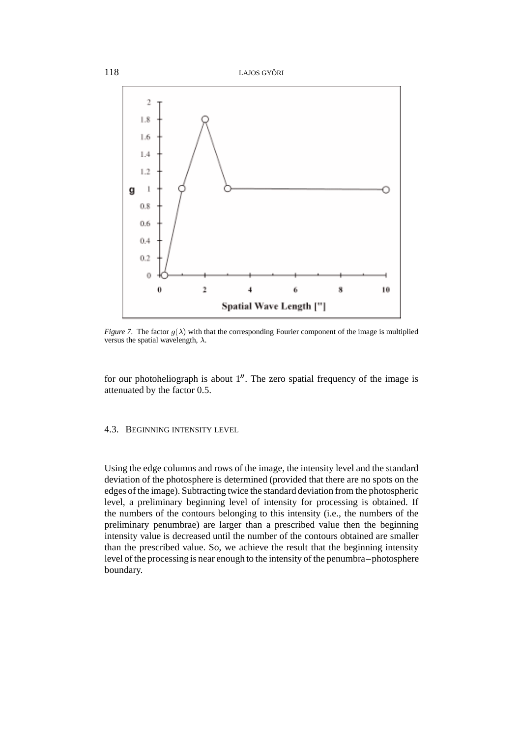

*Figure* 7. The factor  $q(\lambda)$  with that the corresponding Fourier component of the image is multiplied versus the spatial wavelength,  $\lambda$ .

for our photoheliograph is about  $1$ <sup>"</sup>. The zero spatial frequency of the image is attenuated by the factor 0.5.

#### 4.3. BEGINNING INTENSITY LEVEL

Using the edge columns and rows of the image, the intensity level and the standard deviation of the photosphere is determined (provided that there are no spots on the edges of the image). Subtracting twice the standard deviation from the photospheric level, a preliminary beginning level of intensity for processing is obtained. If the numbers of the contours belonging to this intensity (i.e., the numbers of the preliminary penumbrae) are larger than a prescribed value then the beginning intensity value is decreased until the number of the contours obtained are smaller than the prescribed value. So, we achieve the result that the beginning intensity level of the processing is near enough to the intensity of the penumbra–photosphere boundary.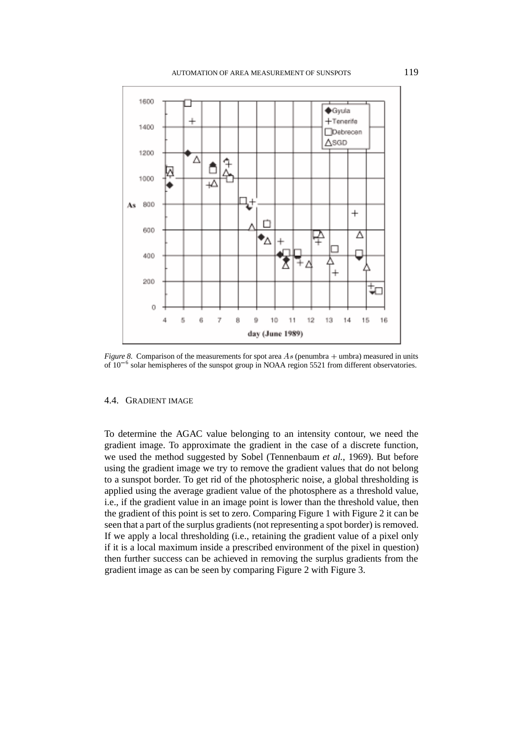

*Figure* 8. Comparison of the measurements for spot area As (penumbra + umbra) measured in units of  $10^{-6}$  solar hemispheres of the sunspot group in NOAA region 5521 from different observatories.

## 4.4. GRADIENT IMAGE

To determine the AGAC value belonging to an intensity contour, we need the gradient image. To approximate the gradient in the case of a discrete function, we used the method suggested by Sobel (Tennenbaum *et al.*, 1969). But before using the gradient image we try to remove the gradient values that do not belong to a sunspot border. To get rid of the photospheric noise, a global thresholding is applied using the average gradient value of the photosphere as a threshold value, i.e., if the gradient value in an image point is lower than the threshold value, then the gradient of this point is set to zero. Comparing Figure 1 with Figure 2 it can be seen that a part of the surplus gradients (not representing a spot border) is removed. If we apply a local thresholding (i.e., retaining the gradient value of a pixel only if it is a local maximum inside a prescribed environment of the pixel in question) then further success can be achieved in removing the surplus gradients from the gradient image as can be seen by comparing Figure 2 with Figure 3.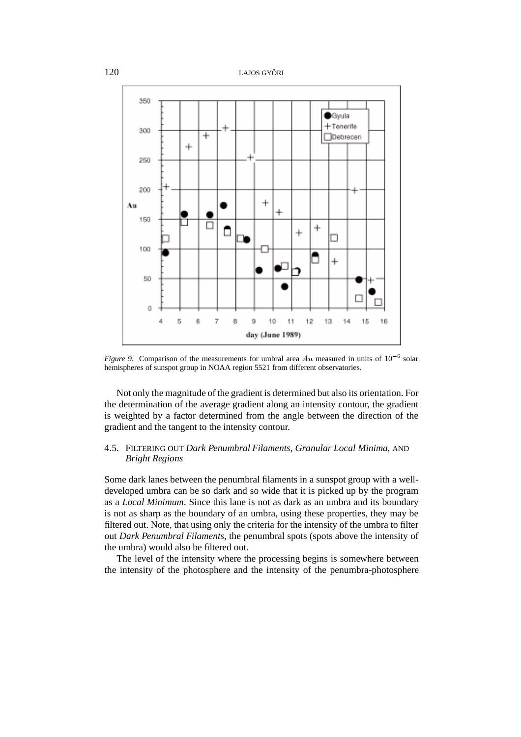



*Figure* 9. Comparison of the measurements for umbral area  $Au$  measured in units of  $10^{-6}$  solar hemispheres of sunspot group in NOAA region 5521 from different observatories.

Not only the magnitude of the gradient is determined but also its orientation. For the determination of the average gradient along an intensity contour, the gradient is weighted by a factor determined from the angle between the direction of the gradient and the tangent to the intensity contour.

# 4.5. FILTERING OUT *Dark Penumbral Filaments, Granular Local Minima*, AND *Bright Regions*

Some dark lanes between the penumbral filaments in a sunspot group with a welldeveloped umbra can be so dark and so wide that it is picked up by the program as a *Local Minimum*. Since this lane is not as dark as an umbra and its boundary is not as sharp as the boundary of an umbra, using these properties, they may be filtered out. Note, that using only the criteria for the intensity of the umbra to filter out *Dark Penumbral Filaments*, the penumbral spots (spots above the intensity of the umbra) would also be filtered out.

The level of the intensity where the processing begins is somewhere between the intensity of the photosphere and the intensity of the penumbra-photosphere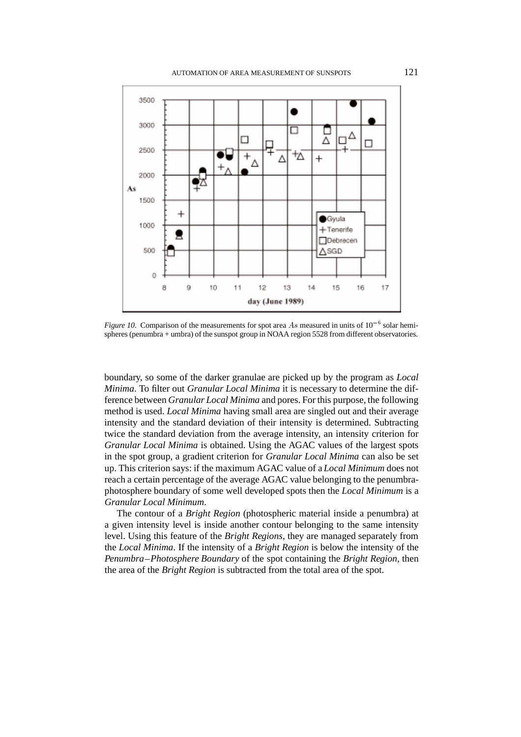

*Figure 10.* Comparison of the measurements for spot area As measured in units of  $10^{-6}$  solar hemispheres (penumbra + umbra) of the sunspot group in NOAA region 5528 from different observatories.

boundary, so some of the darker granulae are picked up by the program as *Local Minima*. To filter out *Granular Local Minima* it is necessary to determine the difference between *Granular Local Minima* and pores. For this purpose, the following method is used. *Local Minima* having small area are singled out and their average intensity and the standard deviation of their intensity is determined. Subtracting twice the standard deviation from the average intensity, an intensity criterion for *Granular Local Minima* is obtained. Using the AGAC values of the largest spots in the spot group, a gradient criterion for *Granular Local Minima* can also be set up. This criterion says: if the maximum AGAC value of a *Local Minimum* does not reach a certain percentage of the average AGAC value belonging to the penumbraphotosphere boundary of some well developed spots then the *Local Minimum* is a *Granular Local Minimum*.

The contour of a *Bright Region* (photospheric material inside a penumbra) at a given intensity level is inside another contour belonging to the same intensity level. Using this feature of the *Bright Regions*, they are managed separately from the *Local Minima*. If the intensity of a *Bright Region* is below the intensity of the *Penumbra–Photosphere Boundary* of the spot containing the *Bright Region*, then the area of the *Bright Region* is subtracted from the total area of the spot.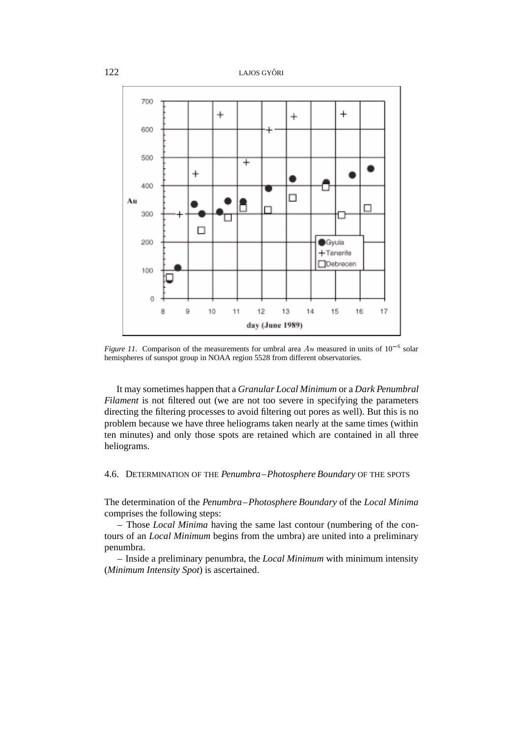



*Figure 11.* Comparison of the measurements for umbral area Au measured in units of  $10^{-6}$  solar hemispheres of sunspot group in NOAA region 5528 from different observatories.

It may sometimes happen that a *Granular Local Minimum* or a *Dark Penumbral Filament* is not filtered out (we are not too severe in specifying the parameters directing the filtering processes to avoid filtering out pores as well). But this is no problem because we have three heliograms taken nearly at the same times (within ten minutes) and only those spots are retained which are contained in all three heliograms.

4.6. DETERMINATION OF THE *Penumbra–Photosphere Boundary* OF THE SPOTS

The determination of the *Penumbra–Photosphere Boundary* of the *Local Minima* comprises the following steps:

– Those *Local Minima* having the same last contour (numbering of the contours of an *Local Minimum* begins from the umbra) are united into a preliminary penumbra.

– Inside a preliminary penumbra, the *Local Minimum* with minimum intensity (*Minimum Intensity Spot*) is ascertained.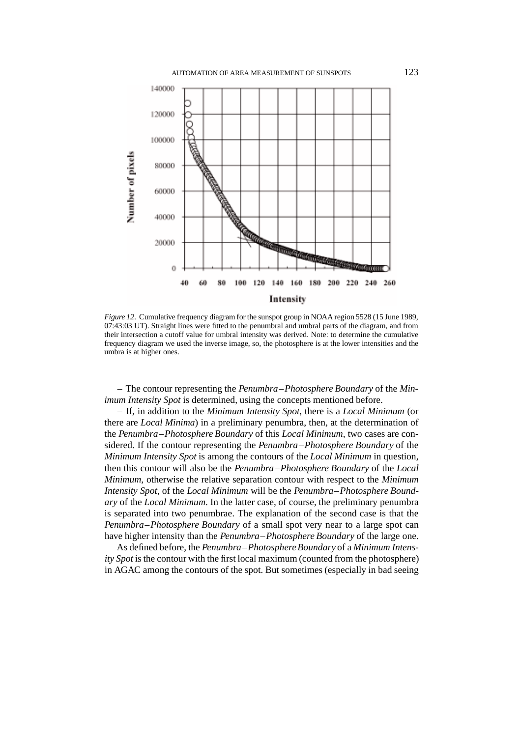

*Figure 12*. Cumulative frequency diagram for the sunspot group in NOAA region 5528 (15 June 1989, 07:43:03 UT). Straight lines were fitted to the penumbral and umbral parts of the diagram, and from their intersection a cutoff value for umbral intensity was derived. Note: to determine the cumulative frequency diagram we used the inverse image, so, the photosphere is at the lower intensities and the umbra is at higher ones.

– The contour representing the *Penumbra–Photosphere Boundary* of the *Minimum Intensity Spot* is determined, using the concepts mentioned before.

– If, in addition to the *Minimum Intensity Spot*, there is a *Local Minimum* (or there are *Local Minima*) in a preliminary penumbra, then, at the determination of the *Penumbra–Photosphere Boundary* of this *Local Minimum*, two cases are considered. If the contour representing the *Penumbra–Photosphere Boundary* of the *Minimum Intensity Spot* is among the contours of the *Local Minimum* in question, then this contour will also be the *Penumbra–Photosphere Boundary* of the *Local Minimum*, otherwise the relative separation contour with respect to the *Minimum Intensity Spot*, of the *Local Minimum* will be the *Penumbra–Photosphere Boundary* of the *Local Minimum*. In the latter case, of course, the preliminary penumbra is separated into two penumbrae. The explanation of the second case is that the *Penumbra–Photosphere Boundary* of a small spot very near to a large spot can have higher intensity than the *Penumbra–Photosphere Boundary* of the large one.

As defined before, the *Penumbra–PhotosphereBoundary* of a *Minimum Intensity Spot* is the contour with the first local maximum (counted from the photosphere) in AGAC among the contours of the spot. But sometimes (especially in bad seeing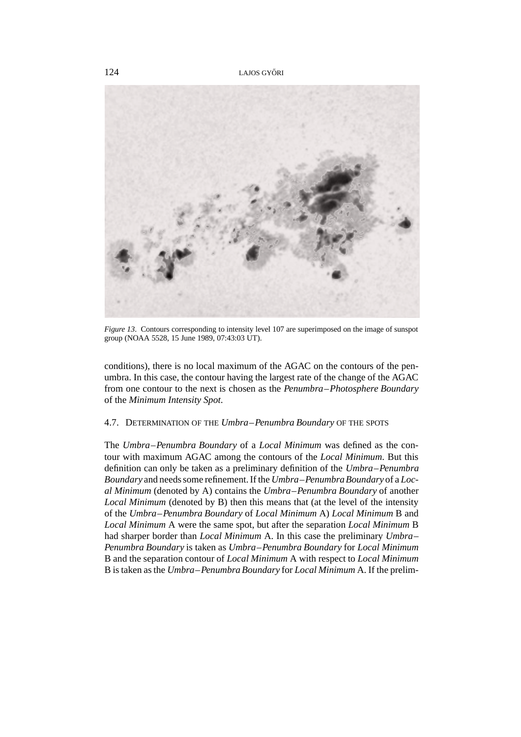

*Figure 13*. Contours corresponding to intensity level 107 are superimposed on the image of sunspot group (NOAA 5528, 15 June 1989, 07:43:03 UT).

conditions), there is no local maximum of the AGAC on the contours of the penumbra. In this case, the contour having the largest rate of the change of the AGAC from one contour to the next is chosen as the *Penumbra–Photosphere Boundary* of the *Minimum Intensity Spot*.

## 4.7. DETERMINATION OF THE *Umbra–Penumbra Boundary* OF THE SPOTS

The *Umbra–Penumbra Boundary* of a *Local Minimum* was defined as the contour with maximum AGAC among the contours of the *Local Minimum*. But this definition can only be taken as a preliminary definition of the *Umbra–Penumbra* Boundary and needs some refinement. If the *Umbra–Penumbra Boundary* of a *Local Minimum* (denoted by A) contains the *Umbra–Penumbra Boundary* of another *Local Minimum* (denoted by B) then this means that (at the level of the intensity of the *Umbra–Penumbra Boundary* of *Local Minimum* A) *Local Minimum* B and *Local Minimum* A were the same spot, but after the separation *Local Minimum* B had sharper border than *Local Minimum* A. In this case the preliminary *Umbra– Penumbra Boundary* is taken as *Umbra–Penumbra Boundary* for *Local Minimum* B and the separation contour of *Local Minimum* A with respect to *Local Minimum* B is taken asthe *Umbra–Penumbra Boundary* for *Local Minimum* A. If the prelim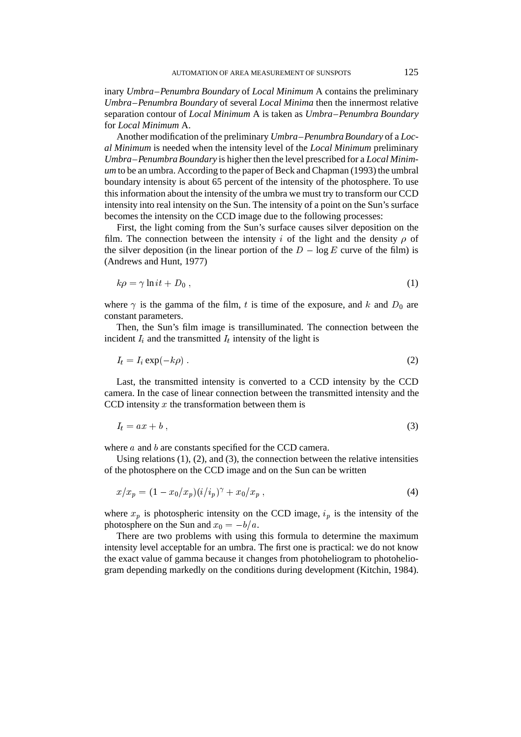inary *Umbra–Penumbra Boundary* of *Local Minimum* A contains the preliminary *Umbra–Penumbra Boundary* of several *Local Minima* then the innermost relative separation contour of *Local Minimum* A is taken as *Umbra–Penumbra Boundary* for *Local Minimum* A.

Another modification of the preliminary *Umbra–PenumbraBoundary* of a *Local Minimum* is needed when the intensity level of the *Local Minimum* preliminary *Umbra–PenumbraBoundary* is higher then the level prescribed for a *Local Minimum* to be an umbra. According to the paper of Beck and Chapman (1993) the umbral boundary intensity is about 65 percent of the intensity of the photosphere. To use this information about the intensity of the umbra we must try to transform our CCD intensity into real intensity on the Sun. The intensity of a point on the Sun's surface becomes the intensity on the CCD image due to the following processes:

First, the light coming from the Sun's surface causes silver deposition on the film. The connection between the intensity i of the light and the density  $\rho$  of the silver deposition (in the linear portion of the  $D - \log E$  curve of the film) is (Andrews and Hunt, 1977)

$$
k\rho = \gamma \ln it + D_0 \,,\tag{1}
$$

where  $\gamma$  is the gamma of the film, t is time of the exposure, and k and  $D_0$  are constant parameters.

Then, the Sun's film image is transilluminated. The connection between the incident  $I_i$  and the transmitted  $I_t$  intensity of the light is

$$
I_t = I_i \exp(-k\rho) \tag{2}
$$

Last, the transmitted intensity is converted to a CCD intensity by the CCD camera. In the case of linear connection between the transmitted intensity and the CCD intensity  $x$  the transformation between them is

$$
I_t = ax + b \t{,} \t(3)
$$

where *a* and *b* are constants specified for the CCD camera.

Using relations (1), (2), and (3), the connection between the relative intensities of the photosphere on the CCD image and on the Sun can be written

$$
x/x_p = (1 - x_0/x_p)(i/i_p)^{\gamma} + x_0/x_p,
$$
\n(4)

where  $x_p$  is photospheric intensity on the CCD image,  $i_p$  is the intensity of the photosphere on the Sun and  $x_0 = -b/a$ .

There are two problems with using this formula to determine the maximum intensity level acceptable for an umbra. The first one is practical: we do not know the exact value of gamma because it changes from photoheliogram to photoheliogram depending markedly on the conditions during development (Kitchin, 1984).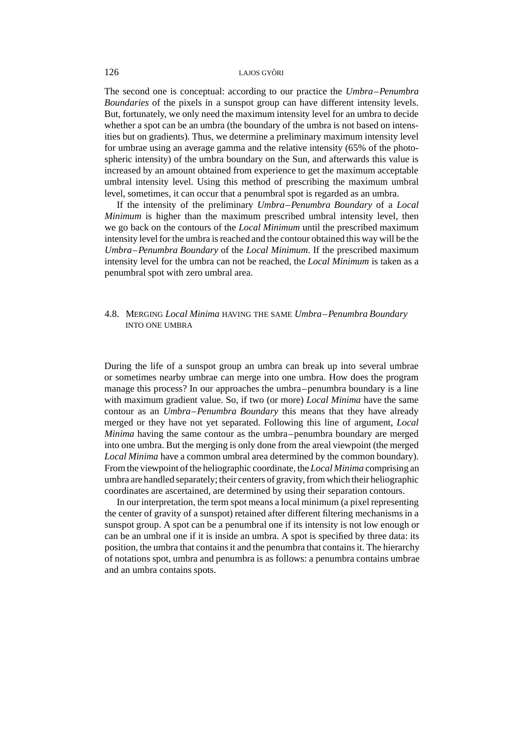The second one is conceptual: according to our practice the *Umbra–Penumbra Boundaries* of the pixels in a sunspot group can have different intensity levels. But, fortunately, we only need the maximum intensity level for an umbra to decide whether a spot can be an umbra (the boundary of the umbra is not based on intensities but on gradients). Thus, we determine a preliminary maximum intensity level for umbrae using an average gamma and the relative intensity (65% of the photospheric intensity) of the umbra boundary on the Sun, and afterwards this value is increased by an amount obtained from experience to get the maximum acceptable umbral intensity level. Using this method of prescribing the maximum umbral level, sometimes, it can occur that a penumbral spot is regarded as an umbra.

If the intensity of the preliminary *Umbra–Penumbra Boundary* of a *Local Minimum* is higher than the maximum prescribed umbral intensity level, then we go back on the contours of the *Local Minimum* until the prescribed maximum intensity level for the umbra is reached and the contour obtained this way will be the *Umbra–Penumbra Boundary* of the *Local Minimum*. If the prescribed maximum intensity level for the umbra can not be reached, the *Local Minimum* is taken as a penumbral spot with zero umbral area.

## 4.8. MERGING *Local Minima* HAVING THE SAME *Umbra–Penumbra Boundary* INTO ONE UMBRA

During the life of a sunspot group an umbra can break up into several umbrae or sometimes nearby umbrae can merge into one umbra. How does the program manage this process? In our approaches the umbra–penumbra boundary is a line with maximum gradient value. So, if two (or more) *Local Minima* have the same contour as an *Umbra–Penumbra Boundary* this means that they have already merged or they have not yet separated. Following this line of argument, *Local Minima* having the same contour as the umbra–penumbra boundary are merged into one umbra. But the merging is only done from the areal viewpoint (the merged *Local Minima* have a common umbral area determined by the common boundary). From the viewpoint of the heliographic coordinate, the *Local Minima* comprising an umbra are handled separately; their centers of gravity, from which their heliographic coordinates are ascertained, are determined by using their separation contours.

In our interpretation, the term spot means a local minimum (a pixel representing the center of gravity of a sunspot) retained after different filtering mechanisms in a sunspot group. A spot can be a penumbral one if its intensity is not low enough or can be an umbral one if it is inside an umbra. A spot is specified by three data: its position, the umbra that contains it and the penumbra that contains it. The hierarchy of notations spot, umbra and penumbra is as follows: a penumbra contains umbrae and an umbra contains spots.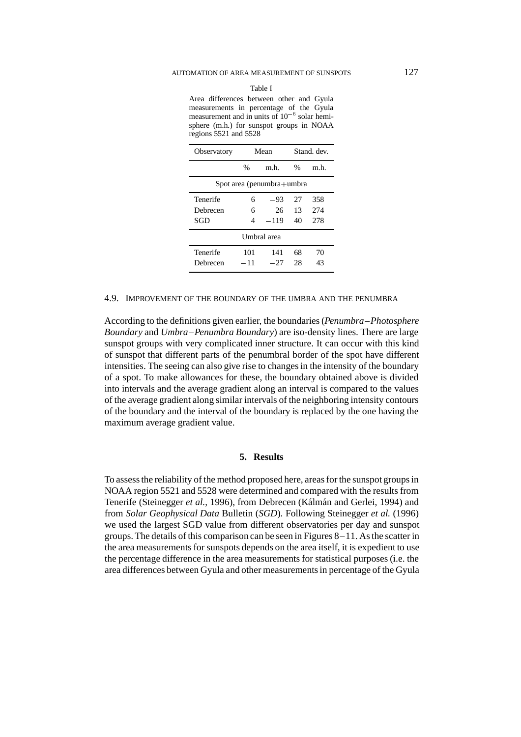#### Table I

Area differences between other and Gyula measurements in percentage of the Gyula measurement and in units of  $10^{-6}$  solar hemisphere (m.h.) for sunspot groups in NOAA regions 5521 and 5528

| Observatory               | Mean  |        | Stand, dev. |      |
|---------------------------|-------|--------|-------------|------|
|                           | $\%$  | m.h.   | $\%$        | m.h. |
| Spot area (penumbra+umbra |       |        |             |      |
| Tenerife                  | 6     | $-93$  | 27          | 358  |
| Debrecen                  | 6     | 26     | 13          | 274  |
| SGD                       | 4     | $-119$ | 40          | 278  |
| Umbral area               |       |        |             |      |
| Tenerife                  | 101   | 141    | 68          | 70   |
| Debrecen                  | $-11$ | $-27$  | 28          | 43   |

#### 4.9. IMPROVEMENT OF THE BOUNDARY OF THE UMBRA AND THE PENUMBRA

According to the definitions given earlier, the boundaries(*Penumbra–Photosphere Boundary* and *Umbra–Penumbra Boundary*) are iso-density lines. There are large sunspot groups with very complicated inner structure. It can occur with this kind of sunspot that different parts of the penumbral border of the spot have different intensities. The seeing can also give rise to changesin the intensity of the boundary of a spot. To make allowances for these, the boundary obtained above is divided into intervals and the average gradient along an interval is compared to the values of the average gradient along similar intervals of the neighboring intensity contours of the boundary and the interval of the boundary is replaced by the one having the maximum average gradient value.

# **5. Results**

To assess the reliability of the method proposed here, areas for the sunspot groups in NOAA region 5521 and 5528 were determined and compared with the results from Tenerife (Steinegger et al., 1996), from Debrecen (Kálmán and Gerlei, 1994) and from *Solar Geophysical Data* Bulletin (*SGD*). Following Steinegger *et al.* (1996) we used the largest SGD value from different observatories per day and sunspot groups. The details of this comparison can be seen in Figures 8–11. Asthe scatter in the area measurements for sunspots depends on the area itself, it is expedient to use the percentage difference in the area measurements for statistical purposes (i.e. the area differences between Gyula and other measurementsin percentage of the Gyula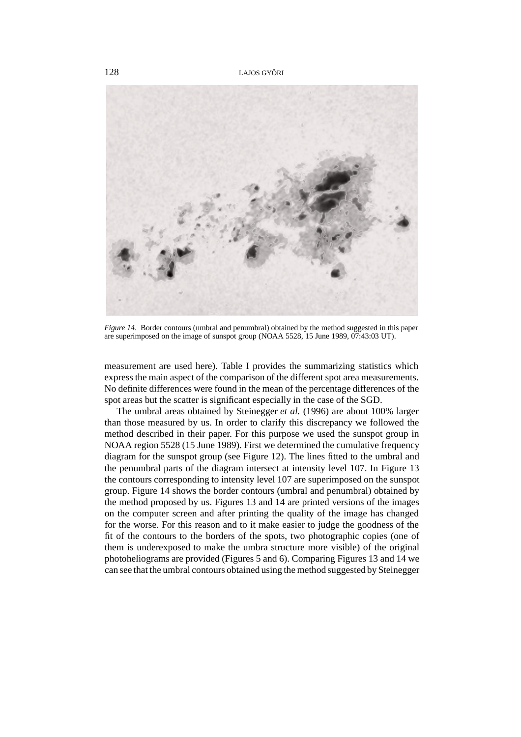

*Figure* 14. Border contours (umbral and penumbral) obtained by the method suggested in this paper are superimposed on the image of sunspot group (NOAA 5528, 15 June 1989, 07:43:03 UT).

measurement are used here). Table I provides the summarizing statistics which expressthe main aspect of the comparison of the different spot area measurements. No definite differences were found in the mean of the percentage differences of the spot areas but the scatter is significant especially in the case of the SGD.

The umbral areas obtained by Steinegger *et al.* (1996) are about 100% larger than those measured by us. In order to clarify this discrepancy we followed the method described in their paper. For this purpose we used the sunspot group in NOAA region 5528 (15 June 1989). First we determined the cumulative frequency diagram for the sunspot group (see Figure 12). The lines fitted to the umbral and the penumbral parts of the diagram intersect at intensity level 107. In Figure 13 the contours corresponding to intensity level 107 are superimposed on the sunspot group. Figure 14 shows the border contours (umbral and penumbral) obtained by the method proposed by us. Figures 13 and 14 are printed versions of the images on the computer screen and after printing the quality of the image has changed for the worse. For this reason and to it make easier to judge the goodness of the fit of the contours to the borders of the spots, two photographic copies (one of them is underexposed to make the umbra structure more visible) of the original photoheliograms are provided (Figures 5 and 6). Comparing Figures 13 and 14 we can see that the umbral contours obtained using the method suggested by Steinegger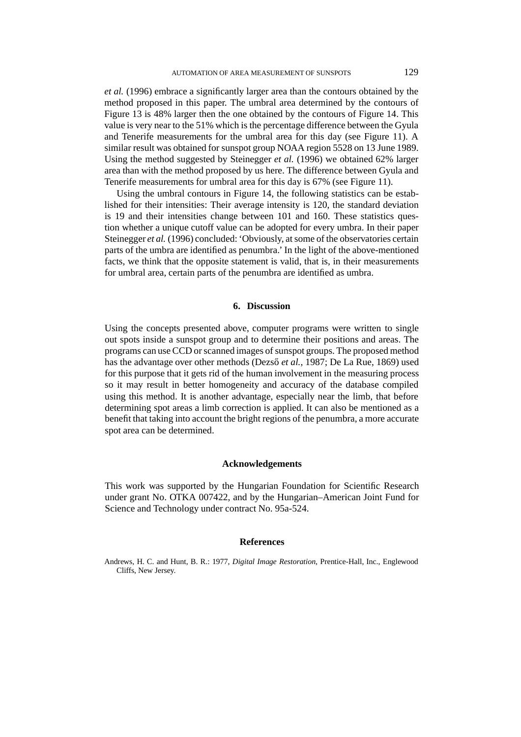*et al.* (1996) embrace a significantly larger area than the contours obtained by the method proposed in this paper. The umbral area determined by the contours of Figure 13 is 48% larger then the one obtained by the contours of Figure 14. This value is very near to the 51% which is the percentage difference between the Gyula and Tenerife measurements for the umbral area for this day (see Figure 11). A similar result was obtained for sunspot group NOAA region 5528 on 13 June 1989. Using the method suggested by Steinegger *et al.* (1996) we obtained 62% larger area than with the method proposed by us here. The difference between Gyula and Tenerife measurements for umbral area for this day is 67% (see Figure 11).

Using the umbral contours in Figure 14, the following statistics can be established for their intensities: Their average intensity is 120, the standard deviation is 19 and their intensities change between 101 and 160. These statistics question whether a unique cutoff value can be adopted for every umbra. In their paper Steinegger *et al.* (1996) concluded: 'Obviously, at some of the observatories certain parts of the umbra are identified as penumbra.' In the light of the above-mentioned facts, we think that the opposite statement is valid, that is, in their measurements for umbral area, certain parts of the penumbra are identified as umbra.

## **6. Discussion**

Using the concepts presented above, computer programs were written to single out spots inside a sunspot group and to determine their positions and areas. The programs can use CCD or scanned images of sunspot groups. The proposed method has the advantage over other methods (Dezso*ct al.*, 1987; De La Rue, 1869) used for this purpose that it gets rid of the human involvement in the measuring process so it may result in better homogeneity and accuracy of the database compiled using this method. It is another advantage, especially near the limb, that before determining spot areas a limb correction is applied. It can also be mentioned as a benefit that taking into account the bright regions of the penumbra, a more accurate spot area can be determined.

## **Acknowledgements**

This work was supported by the Hungarian Foundation for Scientific Research under grant No. OTKA 007422, and by the Hungarian–American Joint Fund for Science and Technology under contract No. 95a-524.

#### **References**

Andrews, H. C. and Hunt, B. R.: 1977, *Digital Image Restoration*, Prentice-Hall, Inc., Englewood Cliffs, New Jersey.